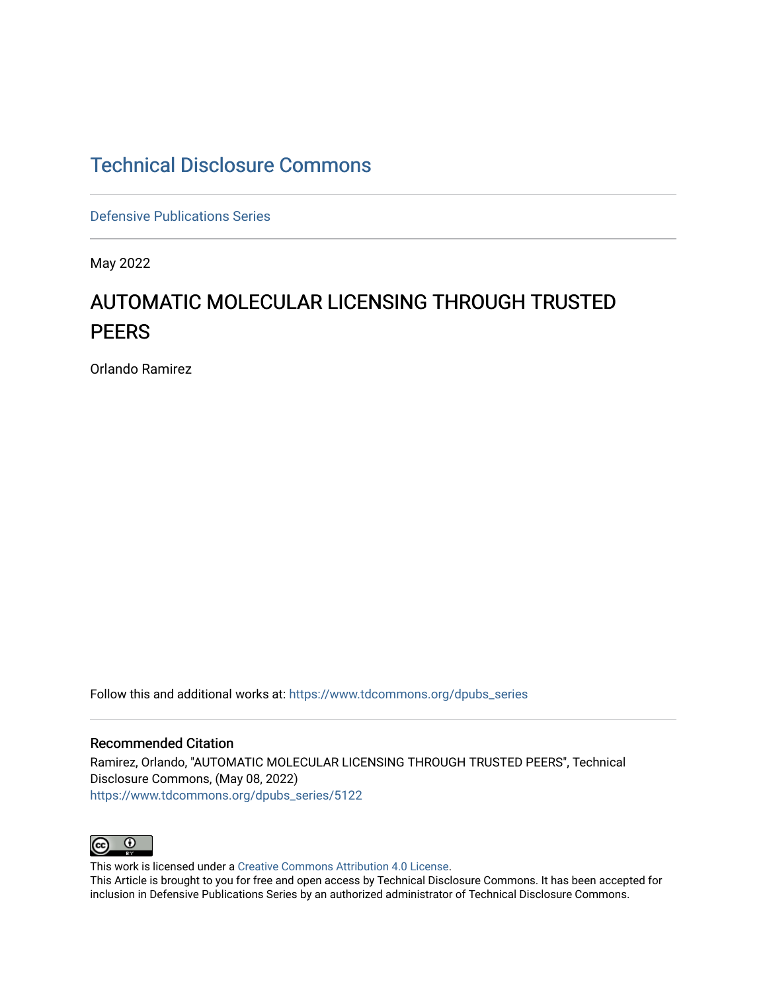# [Technical Disclosure Commons](https://www.tdcommons.org/)

[Defensive Publications Series](https://www.tdcommons.org/dpubs_series)

May 2022

# AUTOMATIC MOLECULAR LICENSING THROUGH TRUSTED **PEERS**

Orlando Ramirez

Follow this and additional works at: [https://www.tdcommons.org/dpubs\\_series](https://www.tdcommons.org/dpubs_series?utm_source=www.tdcommons.org%2Fdpubs_series%2F5122&utm_medium=PDF&utm_campaign=PDFCoverPages) 

## Recommended Citation

Ramirez, Orlando, "AUTOMATIC MOLECULAR LICENSING THROUGH TRUSTED PEERS", Technical Disclosure Commons, (May 08, 2022) [https://www.tdcommons.org/dpubs\\_series/5122](https://www.tdcommons.org/dpubs_series/5122?utm_source=www.tdcommons.org%2Fdpubs_series%2F5122&utm_medium=PDF&utm_campaign=PDFCoverPages)



This work is licensed under a [Creative Commons Attribution 4.0 License](http://creativecommons.org/licenses/by/4.0/deed.en_US).

This Article is brought to you for free and open access by Technical Disclosure Commons. It has been accepted for inclusion in Defensive Publications Series by an authorized administrator of Technical Disclosure Commons.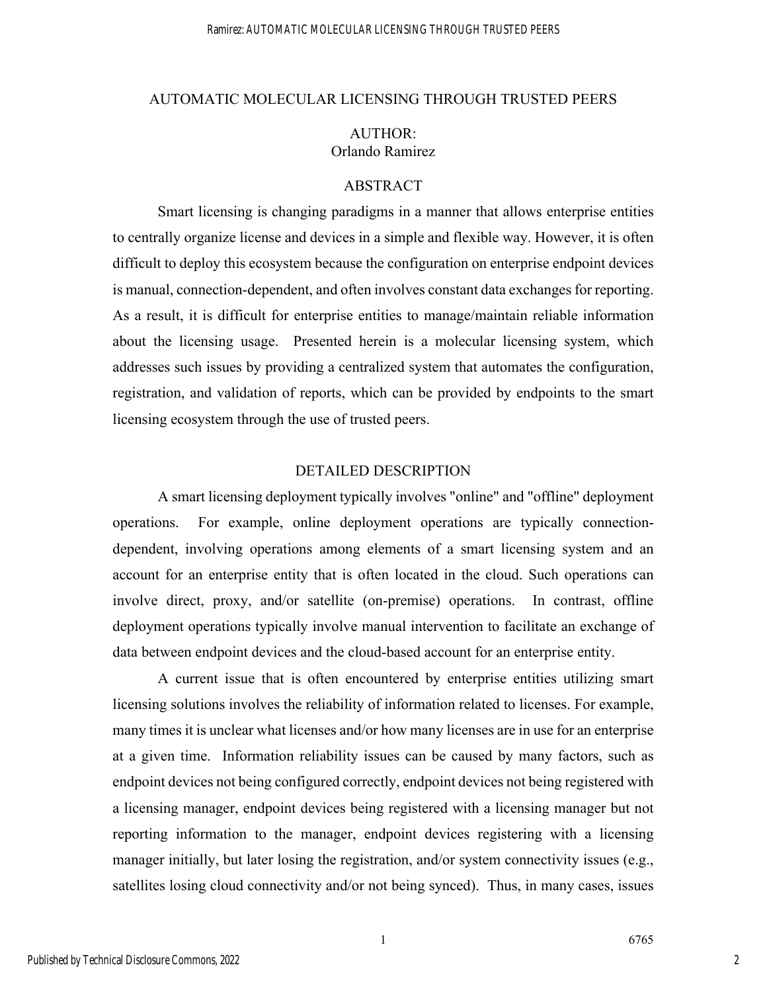#### AUTOMATIC MOLECULAR LICENSING THROUGH TRUSTED PEERS

# AUTHOR: Orlando Ramirez

## ABSTRACT

Smart licensing is changing paradigms in a manner that allows enterprise entities to centrally organize license and devices in a simple and flexible way. However, it is often difficult to deploy this ecosystem because the configuration on enterprise endpoint devices is manual, connection-dependent, and often involves constant data exchanges for reporting. As a result, it is difficult for enterprise entities to manage/maintain reliable information about the licensing usage. Presented herein is a molecular licensing system, which addresses such issues by providing a centralized system that automates the configuration, registration, and validation of reports, which can be provided by endpoints to the smart licensing ecosystem through the use of trusted peers.

# DETAILED DESCRIPTION

A smart licensing deployment typically involves "online" and "offline" deployment operations. For example, online deployment operations are typically connectiondependent, involving operations among elements of a smart licensing system and an account for an enterprise entity that is often located in the cloud. Such operations can involve direct, proxy, and/or satellite (on-premise) operations. In contrast, offline deployment operations typically involve manual intervention to facilitate an exchange of data between endpoint devices and the cloud-based account for an enterprise entity.

A current issue that is often encountered by enterprise entities utilizing smart licensing solutions involves the reliability of information related to licenses. For example, many times it is unclear what licenses and/or how many licenses are in use for an enterprise at a given time. Information reliability issues can be caused by many factors, such as endpoint devices not being configured correctly, endpoint devices not being registered with a licensing manager, endpoint devices being registered with a licensing manager but not reporting information to the manager, endpoint devices registering with a licensing manager initially, but later losing the registration, and/or system connectivity issues (e.g., satellites losing cloud connectivity and/or not being synced). Thus, in many cases, issues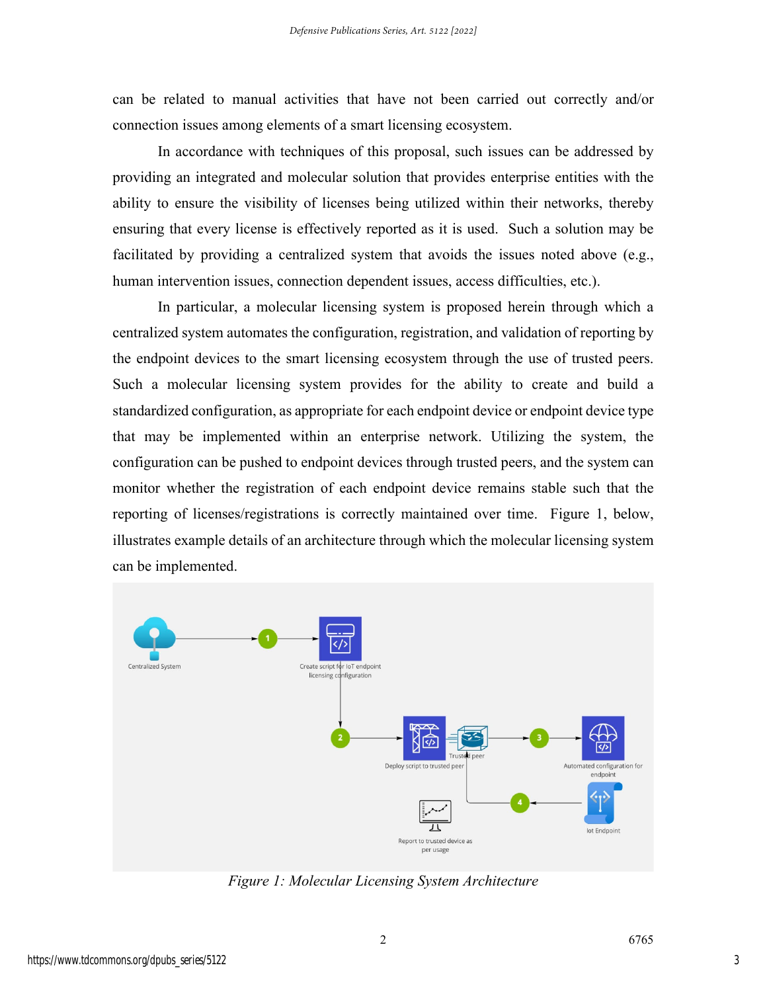can be related to manual activities that have not been carried out correctly and/or connection issues among elements of a smart licensing ecosystem.

In accordance with techniques of this proposal, such issues can be addressed by providing an integrated and molecular solution that provides enterprise entities with the ability to ensure the visibility of licenses being utilized within their networks, thereby ensuring that every license is effectively reported as it is used. Such a solution may be facilitated by providing a centralized system that avoids the issues noted above (e.g., human intervention issues, connection dependent issues, access difficulties, etc.).

In particular, a molecular licensing system is proposed herein through which a centralized system automates the configuration, registration, and validation of reporting by the endpoint devices to the smart licensing ecosystem through the use of trusted peers. Such a molecular licensing system provides for the ability to create and build a standardized configuration, as appropriate for each endpoint device or endpoint device type that may be implemented within an enterprise network. Utilizing the system, the configuration can be pushed to endpoint devices through trusted peers, and the system can monitor whether the registration of each endpoint device remains stable such that the reporting of licenses/registrations is correctly maintained over time. Figure 1, below, illustrates example details of an architecture through which the molecular licensing system can be implemented.



*Figure 1: Molecular Licensing System Architecture*